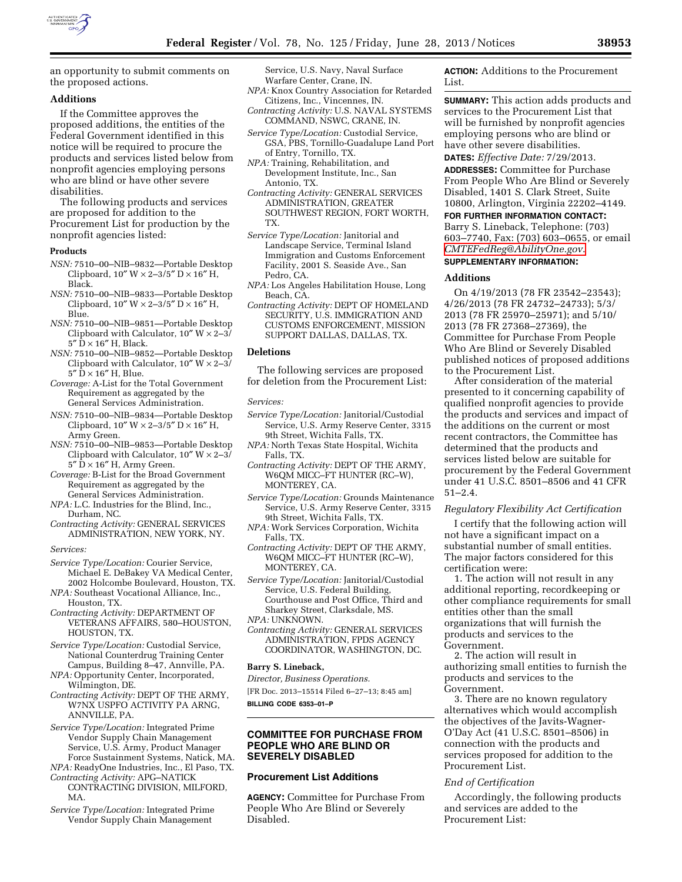

an opportunity to submit comments on the proposed actions.

# **Additions**

If the Committee approves the proposed additions, the entities of the Federal Government identified in this notice will be required to procure the products and services listed below from nonprofit agencies employing persons who are blind or have other severe disabilities.

The following products and services are proposed for addition to the Procurement List for production by the nonprofit agencies listed:

## **Products**

- *NSN:* 7510–00–NIB–9832—Portable Desktop Clipboard,  $10'' W \times 2 - 3/5'' D \times 16'' H$ , Black.
- *NSN:* 7510–00–NIB–9833—Portable Desktop Clipboard,  $10''$  W  $\times$  2–3/5" D  $\times$  16" H, Blue.
- *NSN:* 7510–00–NIB–9851—Portable Desktop Clipboard with Calculator,  $10'' W \times 2-3$  $5''$   $\rm \tilde{D}$   $\times$  16" H, Black.
- *NSN:* 7510–00–NIB–9852—Portable Desktop Clipboard with Calculator,  $10'' W \times 2-3/$  $5''$   $\bar{D} \times 16''$  H, Blue.
- *Coverage:* A-List for the Total Government Requirement as aggregated by the General Services Administration.
- *NSN:* 7510–00–NIB–9834—Portable Desktop Clipboard,  $10''$  W  $\times$  2–3/5" D  $\times$  16" H, Army Green.
- *NSN:* 7510–00–NIB–9853—Portable Desktop Clipboard with Calculator,  $10''$  W  $\times$  2–3/  $5''$   $\text{D} \times 16''$  H, Army Green.
- *Coverage:* B-List for the Broad Government Requirement as aggregated by the General Services Administration.
- *NPA:* L.C. Industries for the Blind, Inc., Durham, NC.
- *Contracting Activity:* GENERAL SERVICES ADMINISTRATION, NEW YORK, NY.

*Services:* 

- *Service Type/Location:* Courier Service, Michael E. DeBakey VA Medical Center, 2002 Holcombe Boulevard, Houston, TX.
- *NPA:* Southeast Vocational Alliance, Inc., Houston, TX.
- *Contracting Activity:* DEPARTMENT OF VETERANS AFFAIRS, 580–HOUSTON, HOUSTON, TX.
- *Service Type/Location:* Custodial Service, National Counterdrug Training Center Campus, Building 8–47, Annville, PA.
- *NPA:* Opportunity Center, Incorporated, Wilmington, DE.
- *Contracting Activity:* DEPT OF THE ARMY, W7NX USPFO ACTIVITY PA ARNG, ANNVILLE, PA.
- *Service Type/Location:* Integrated Prime Vendor Supply Chain Management Service, U.S. Army, Product Manager Force Sustainment Systems, Natick, MA.
- *NPA:* ReadyOne Industries, Inc., El Paso, TX. *Contracting Activity:* APG–NATICK
- CONTRACTING DIVISION, MILFORD, MA.
- *Service Type/Location:* Integrated Prime Vendor Supply Chain Management

Service, U.S. Navy, Naval Surface Warfare Center, Crane, IN.

- *NPA:* Knox Country Association for Retarded Citizens, Inc., Vincennes, IN.
- *Contracting Activity:* U.S. NAVAL SYSTEMS COMMAND, NSWC, CRANE, IN.
- *Service Type/Location:* Custodial Service, GSA, PBS, Tornillo-Guadalupe Land Port of Entry, Tornillo, TX.
- *NPA:* Training, Rehabilitation, and Development Institute, Inc., San Antonio, TX.
- *Contracting Activity:* GENERAL SERVICES ADMINISTRATION, GREATER SOUTHWEST REGION, FORT WORTH, TX.
- *Service Type/Location:* Janitorial and Landscape Service, Terminal Island Immigration and Customs Enforcement Facility, 2001 S. Seaside Ave., San Pedro, CA.
- *NPA:* Los Angeles Habilitation House, Long Beach, CA.
- *Contracting Activity:* DEPT OF HOMELAND SECURITY, U.S. IMMIGRATION AND CUSTOMS ENFORCEMENT, MISSION SUPPORT DALLAS, DALLAS, TX.

### **Deletions**

The following services are proposed for deletion from the Procurement List:

#### *Services:*

- *Service Type/Location:* Janitorial/Custodial Service, U.S. Army Reserve Center, 3315 9th Street, Wichita Falls, TX.
- *NPA:* North Texas State Hospital, Wichita Falls, TX.
- *Contracting Activity:* DEPT OF THE ARMY, W6QM MICC–FT HUNTER (RC–W), MONTEREY, CA.
- *Service Type/Location:* Grounds Maintenance Service, U.S. Army Reserve Center, 3315 9th Street, Wichita Falls, TX.
- *NPA:* Work Services Corporation, Wichita Falls, TX.
- *Contracting Activity:* DEPT OF THE ARMY, W6QM MICC–FT HUNTER (RC–W), MONTEREY, CA.
- *Service Type/Location:* Janitorial/Custodial Service, U.S. Federal Building, Courthouse and Post Office, Third and Sharkey Street, Clarksdale, MS.
- *NPA:* UNKNOWN.
- *Contracting Activity:* GENERAL SERVICES ADMINISTRATION, FPDS AGENCY COORDINATOR, WASHINGTON, DC.

#### **Barry S. Lineback,**

*Director, Business Operations.* 

[FR Doc. 2013–15514 Filed 6–27–13; 8:45 am] **BILLING CODE 6353–01–P** 

# **COMMITTEE FOR PURCHASE FROM PEOPLE WHO ARE BLIND OR SEVERELY DISABLED**

# **Procurement List Additions**

**AGENCY:** Committee for Purchase From People Who Are Blind or Severely Disabled.

**ACTION:** Additions to the Procurement List.

**SUMMARY:** This action adds products and services to the Procurement List that will be furnished by nonprofit agencies employing persons who are blind or have other severe disabilities.

**DATES:** *Effective Date:* 7/29/2013.

**ADDRESSES:** Committee for Purchase From People Who Are Blind or Severely Disabled, 1401 S. Clark Street, Suite 10800, Arlington, Virginia 22202–4149.

**FOR FURTHER INFORMATION CONTACT:**  Barry S. Lineback, Telephone: (703) 603–7740, Fax: (703) 603–0655, or email *[CMTEFedReg@AbilityOne.gov](mailto:CMTEFedReg@AbilityOne.gov)*. **SUPPLEMENTARY INFORMATION:** 

#### **Additions**

On 4/19/2013 (78 FR 23542–23543); 4/26/2013 (78 FR 24732–24733); 5/3/ 2013 (78 FR 25970–25971); and 5/10/ 2013 (78 FR 27368–27369), the Committee for Purchase From People Who Are Blind or Severely Disabled published notices of proposed additions to the Procurement List.

After consideration of the material presented to it concerning capability of qualified nonprofit agencies to provide the products and services and impact of the additions on the current or most recent contractors, the Committee has determined that the products and services listed below are suitable for procurement by the Federal Government under 41 U.S.C. 8501–8506 and 41 CFR 51–2.4.

## *Regulatory Flexibility Act Certification*

I certify that the following action will not have a significant impact on a substantial number of small entities. The major factors considered for this certification were:

1. The action will not result in any additional reporting, recordkeeping or other compliance requirements for small entities other than the small organizations that will furnish the products and services to the Government.

2. The action will result in authorizing small entities to furnish the products and services to the Government.

3. There are no known regulatory alternatives which would accomplish the objectives of the Javits-Wagner-O'Day Act (41 U.S.C. 8501–8506) in connection with the products and services proposed for addition to the Procurement List.

## *End of Certification*

Accordingly, the following products and services are added to the Procurement List: